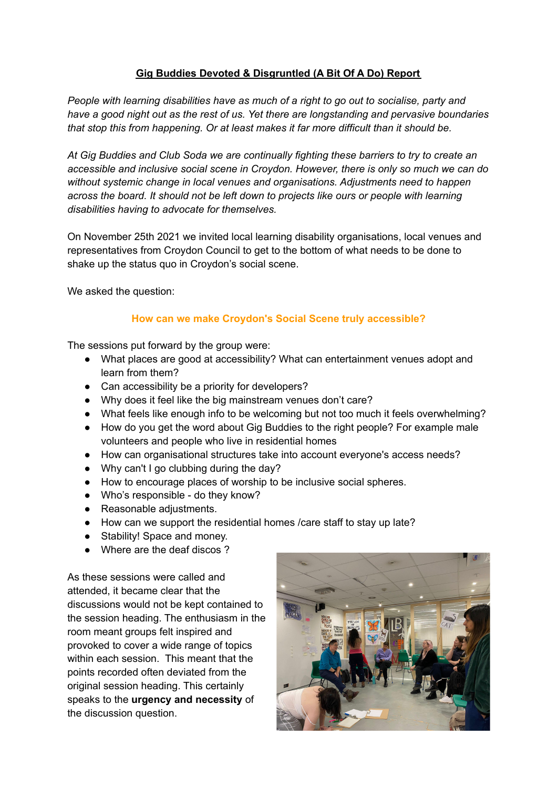## **Gig Buddies Devoted & Disgruntled (A Bit Of A Do) Report**

*People with learning disabilities have as much of a right to go out to socialise, party and have a good night out as the rest of us. Yet there are longstanding and pervasive boundaries that stop this from happening. Or at least makes it far more difficult than it should be.*

*At Gig Buddies and Club Soda we are continually fighting these barriers to try to create an accessible and inclusive social scene in Croydon. However, there is only so much we can do without systemic change in local venues and organisations. Adjustments need to happen across the board. It should not be left down to projects like ours or people with learning disabilities having to advocate for themselves.*

On November 25th 2021 we invited local learning disability organisations, local venues and representatives from Croydon Council to get to the bottom of what needs to be done to shake up the status quo in Croydon's social scene.

We asked the question:

# **How can we make Croydon's Social Scene truly accessible?**

The sessions put forward by the group were:

- What places are good at accessibility? What can entertainment venues adopt and learn from them?
- Can accessibility be a priority for developers?
- Why does it feel like the big mainstream venues don't care?
- What feels like enough info to be welcoming but not too much it feels overwhelming?
- How do you get the word about Gig Buddies to the right people? For example male volunteers and people who live in residential homes
- How can organisational structures take into account everyone's access needs?
- Why can't I go clubbing during the day?
- How to encourage places of worship to be inclusive social spheres.
- Who's responsible do they know?
- Reasonable adiustments.
- How can we support the residential homes /care staff to stay up late?
- Stability! Space and money.
- Where are the deaf discos ?

As these sessions were called and attended, it became clear that the discussions would not be kept contained to the session heading. The enthusiasm in the room meant groups felt inspired and provoked to cover a wide range of topics within each session. This meant that the points recorded often deviated from the original session heading. This certainly speaks to the **urgency and necessity** of the discussion question.

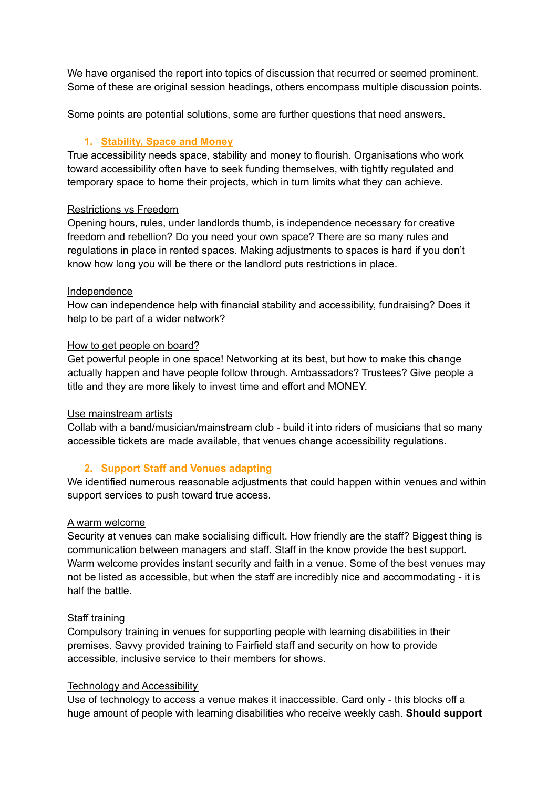We have organised the report into topics of discussion that recurred or seemed prominent. Some of these are original session headings, others encompass multiple discussion points.

Some points are potential solutions, some are further questions that need answers.

## **1. Stability, Space and Money**

True accessibility needs space, stability and money to flourish. Organisations who work toward accessibility often have to seek funding themselves, with tightly regulated and temporary space to home their projects, which in turn limits what they can achieve.

#### Restrictions vs Freedom

Opening hours, rules, under landlords thumb, is independence necessary for creative freedom and rebellion? Do you need your own space? There are so many rules and regulations in place in rented spaces. Making adjustments to spaces is hard if you don't know how long you will be there or the landlord puts restrictions in place.

#### Independence

How can independence help with financial stability and accessibility, fundraising? Does it help to be part of a wider network?

### How to get people on board?

Get powerful people in one space! Networking at its best, but how to make this change actually happen and have people follow through. Ambassadors? Trustees? Give people a title and they are more likely to invest time and effort and MONEY.

#### Use mainstream artists

Collab with a band/musician/mainstream club - build it into riders of musicians that so many accessible tickets are made available, that venues change accessibility regulations.

## **2. Support Staff and Venues adapting**

We identified numerous reasonable adjustments that could happen within venues and within support services to push toward true access.

#### A warm welcome

Security at venues can make socialising difficult. How friendly are the staff? Biggest thing is communication between managers and staff. Staff in the know provide the best support. Warm welcome provides instant security and faith in a venue. Some of the best venues may not be listed as accessible, but when the staff are incredibly nice and accommodating - it is half the battle.

#### Staff training

Compulsory training in venues for supporting people with learning disabilities in their premises. Savvy provided training to Fairfield staff and security on how to provide accessible, inclusive service to their members for shows.

#### Technology and Accessibility

Use of technology to access a venue makes it inaccessible. Card only - this blocks off a huge amount of people with learning disabilities who receive weekly cash. **Should support**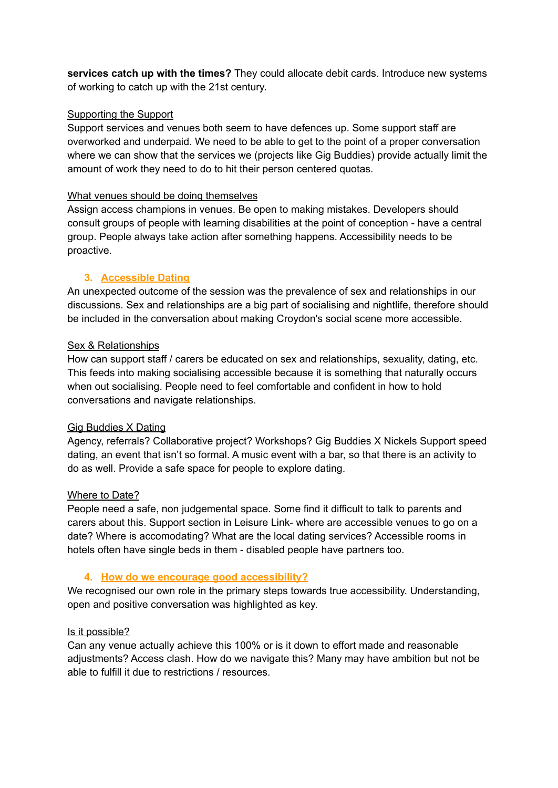**services catch up with the times?** They could allocate debit cards. Introduce new systems of working to catch up with the 21st century.

## Supporting the Support

Support services and venues both seem to have defences up. Some support staff are overworked and underpaid. We need to be able to get to the point of a proper conversation where we can show that the services we (projects like Gig Buddies) provide actually limit the amount of work they need to do to hit their person centered quotas.

#### What venues should be doing themselves

Assign access champions in venues. Be open to making mistakes. Developers should consult groups of people with learning disabilities at the point of conception - have a central group. People always take action after something happens. Accessibility needs to be proactive.

### **3. Accessible Dating**

An unexpected outcome of the session was the prevalence of sex and relationships in our discussions. Sex and relationships are a big part of socialising and nightlife, therefore should be included in the conversation about making Croydon's social scene more accessible.

### Sex & Relationships

How can support staff / carers be educated on sex and relationships, sexuality, dating, etc. This feeds into making socialising accessible because it is something that naturally occurs when out socialising. People need to feel comfortable and confident in how to hold conversations and navigate relationships.

#### Gig Buddies X Dating

Agency, referrals? Collaborative project? Workshops? Gig Buddies X Nickels Support speed dating, an event that isn't so formal. A music event with a bar, so that there is an activity to do as well. Provide a safe space for people to explore dating.

#### Where to Date?

People need a safe, non judgemental space. Some find it difficult to talk to parents and carers about this. Support section in Leisure Link- where are accessible venues to go on a date? Where is accomodating? What are the local dating services? Accessible rooms in hotels often have single beds in them - disabled people have partners too.

## **4. How do we encourage good accessibility?**

We recognised our own role in the primary steps towards true accessibility. Understanding, open and positive conversation was highlighted as key.

#### Is it possible?

Can any venue actually achieve this 100% or is it down to effort made and reasonable adjustments? Access clash. How do we navigate this? Many may have ambition but not be able to fulfill it due to restrictions / resources.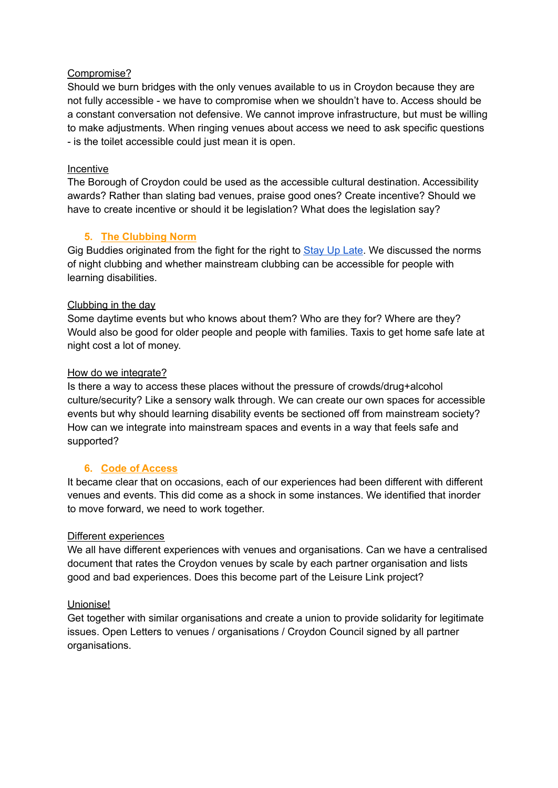### Compromise?

Should we burn bridges with the only venues available to us in Croydon because they are not fully accessible - we have to compromise when we shouldn't have to. Access should be a constant conversation not defensive. We cannot improve infrastructure, but must be willing to make adjustments. When ringing venues about access we need to ask specific questions - is the toilet accessible could just mean it is open.

### Incentive

The Borough of Croydon could be used as the accessible cultural destination. Accessibility awards? Rather than slating bad venues, praise good ones? Create incentive? Should we have to create incentive or should it be legislation? What does the legislation say?

## **5. The Clubbing Norm**

Gig Buddies originated from the fight for the right to [Stay](https://stayuplate.org/) Up Late. We discussed the norms of night clubbing and whether mainstream clubbing can be accessible for people with learning disabilities.

### Clubbing in the day

Some daytime events but who knows about them? Who are they for? Where are they? Would also be good for older people and people with families. Taxis to get home safe late at night cost a lot of money.

### How do we integrate?

Is there a way to access these places without the pressure of crowds/drug+alcohol culture/security? Like a sensory walk through. We can create our own spaces for accessible events but why should learning disability events be sectioned off from mainstream society? How can we integrate into mainstream spaces and events in a way that feels safe and supported?

## **6. Code of Access**

It became clear that on occasions, each of our experiences had been different with different venues and events. This did come as a shock in some instances. We identified that inorder to move forward, we need to work together.

#### Different experiences

We all have different experiences with venues and organisations. Can we have a centralised document that rates the Croydon venues by scale by each partner organisation and lists good and bad experiences. Does this become part of the Leisure Link project?

#### Unionise!

Get together with similar organisations and create a union to provide solidarity for legitimate issues. Open Letters to venues / organisations / Croydon Council signed by all partner organisations.